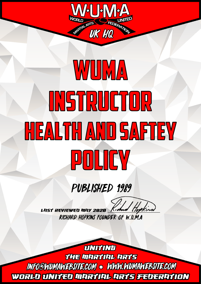

# WUMA INSTRUCTOR MEALTH AND SAFTEY POLICY

## PUBLISHED 1989

Last reviewed May 2020 \_\_\_\_\_\_\_\_\_\_\_\_\_\_\_\_\_\_\_\_\_\_\_\_\_\_

Richard Hopkins Founder of W.U.M.A

**UNITING** THE MARTIAL ARTS

INFO@WUMAWEBSITE.COM • WWW.WUMAWEBSITE.COM WORLD UNITED WORTUN ORTS FEDERATION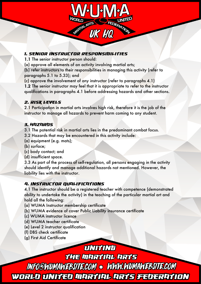

#### 1. Senior Instructor Responsibilities

1.1 The senior instructor person should:

(a) approve all elements of an activity involving martial arts;

(b) refer instructors to their responsibilities in managing this activity (refer to paragraphs 5.1 to 5.33); and

(c) approve the involvement of any instructor (refer to paragraphs 4.1)

1.2 The senior instructor may feel that it is appropriate to refer to the instructor qualifications in paragraphs 4.1 before addressing hazards and other sections.

#### 2. Risk Levels

2.1 Participation in martial arts involves high risk, therefore it is the job of the instructor to manage all hazards to prevent harm coming to any student.

#### 3. Hazards

3.1 The potential risk in martial arts lies in the predominant combat focus.

3.2 Hazards that may be encountered in this activity include:

- (a) equipment (e.g. mats);
- (b) surface;
- (c) body contact; and
- (d) insufficient space.

3.3 As part of the process of self-regulation, all persons engaging in the activity should identify and manage additional hazards not mentioned. However, the liability lies with the instructor.

#### 4. INSTRUCTOR QUALIFICATIONS

4.1 The instructor should be a registered teacher with competence (demonstrated ability to undertake the activity) in the teaching of the particular martial art and hold all the following:

(a) WUMA Instructor membership certificate

(b) WUMA evidence of cover Public Liability insurance certificate

- (c) WUMA instructor licence
- (d) WUMA teacher certificate
- (e) Level 2 instructor qualification
- (f) DBS check certificate
- (g) First Aid Certificate

**UNITING** THE MARTIAL ARTS

INFO@WUMAWEBSITE.COM • WWW.WUMAWEBSITE.COM WORLD UNITED MARTIAL ARTS FEDERATION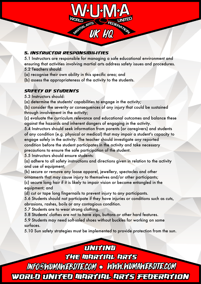

#### 5. Instructor Responsibilities

5.1 Instructors are responsible for managing a safe educational environment and ensuring that activities involving martial arts address safety issues and procedures. 5.2 Teachers should:

(a) recognise their own ability in this specific area; and

(b) assess the appropriateness of the activity to the students.

#### SDFFTY OF STUDENTS

5.3 Instructors should:

(a) determine the students' capabilities to engage in the activity;

(b) consider the severity or consequences of any injury that could be sustained through involvement in the activity;

(c) evaluate the curriculum relevance and educational outcomes and balance these against the hazards and inherent dangers of engaging in the activity.

5.4 Instructors should seek information from parents (or caregivers) and students of any condition (e.g. physical or medical) that may impair a student's capacity to engage safely in the activity. The teacher should investigate any reported condition before the student participates in the activity and take necessary precautions to ensure the safe participation of the student.

5.5 Instructors should ensure students:

(a) adhere to all safety instructions and directions given in relation to the activity and use of equipment;

(b) secure or remove any loose apparel, jewellery, spectacles and other ornaments that may cause injury to themselves and/or other participants; (c) secure long hair if it is likely to impair vision or become entangled in the equipment; and

(d) cut or tape long fingernails to prevent injury to any participants.

5.6 Students should not participate if they have injuries or conditions such as cuts, abrasions, rashes, boils or any contagious condition.

5.7 Students are to wear strong clothing.

5.8 Students' clothes are not to have zips, buttons or other hard features.

5.9 Students may need soft-soled shoes without buckles for working on some surfaces.

5.10 Sun safety strategies must be implemented to provide protection from the sun.

### **UNITING** THE MARTIAL ARTS

INFO@WUMAWEBSITE.COM • WWW.WUMAWEBSITE.COM WORLD UNITED MARTINL ARTS FEDERATION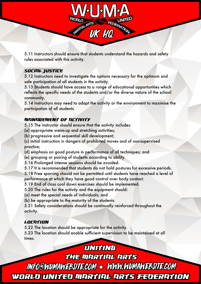5.11 Instructors should ensure that students understand the hazards and safety rules associated with this activity.

UK HQ

#### **SOCIAL JUSTICE**

5.12 Instructors need to investigate the options necessary for the optimum and safe participation of all students in the activity.

5.13 Students should have access to a range of educational opportunities which reflects the specific needs of the students and/or the diverse nature of the school community.

5.14 Instructors may need to adapt the activity or the environment to maximise the participation of all students.

#### **MANAGEMENT OF ACTIVITY**

5.15 The instructor should ensure that the activity includes:

- (a) appropriate warm-up and stretching activities;
- (b) progressive and sequential skill development;

(c) initial instruction in dangers of prohibited moves and of non-supervised practice;

(d) emphasis on good posture in performance of all techniques; and

(e) grouping or pairing of students according to ability.

5.16 Prolonged intense sessions should be avoided.

5.17 It is recommended that students do not hold postures for excessive periods.

5.18 Free sparring should not be permitted until students have reached a level of performance at which they have good control over body contact.

5.19 End of class cool down exercises should be implemented.

5.20 The rules for the activity and the equipment should:

(a) meet the special needs of individuals; and

(b) be appropriate to the maturity of the students.

5.21 Safety considerations should be continually reinforced throughout the activity.

#### LOCATION

5.22 The location should be appropriate for the activity.

5.23 The location should enable sufficient supervision to be maintained at all times.

THE MARTIAL ARTS

**UNITING** 

INFO@WUMAWEBSITE.COM • WWW.WUMAWEBSITE.COM WORLD UNITED MARTINL ARTS FEDERATION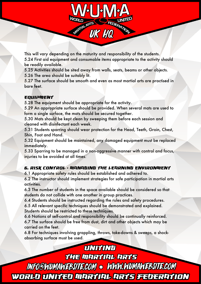This will vary depending on the maturity and responsibility of the students. 5.24 First aid equipment and consumable items appropriate to the activity should be readily available.

**UK HQ** 

**ALARTS** 

5.25 Activities should be sited away from walls, seats, beams or other objects. 5.26 The area should be suitably lit.

5.27 The surface should be smooth and even as most martial arts are practised in bare feet.

#### **EQUIPMENT**

5.28 The equipment should be appropriate for the activity.

5.29 An appropriate surface should be provided. When several mats are used to form a single surface, the mats should be secured together.

5.30 Mats should be kept clean by sweeping them before each session and cleaned with disinfectant each week.

5.31 Students sparring should wear protection for the Head, Teeth, Groin, Chest, Shin, Foot and Hand.

5.32 Equipment should be maintained, any damaged equipment must be replaced immediately.

5.33 Sparring to be managed in a non-aggressive manner with control and focus, injuries to be avoided at all times.

#### 6. Risk Control - Managing the Learning Environment

6.1 Appropriate safety rules should be established and adhered to.

6.2 The instructor should implement strategies for safe participation in martial arts activities.

6.3 The number of students in the space available should be considered so that students do not collide with one another in group practices.

6.4 Students should be instructed regarding the rules and safety procedures.

6.5 All relevant specific techniques should be demonstrated and explained. Students should be restricted to these techniques.

6.6 Notions of self-control and responsibility should be continually reinforced. 6.7 The surface should be free from dust, dirt and other objects which may be carried on the feet.

6.8 For techniques involving grappling, throws, take-downs & sweeps, a shockabsorbing surface must be used.

THE MARTIAL ARTS

**UNITING** 

INFO@WUMAWEBSITE.COM • WWW.WUMAWEBSITE.COM WORLD UNITED MARTINL ARTS FEDERATION